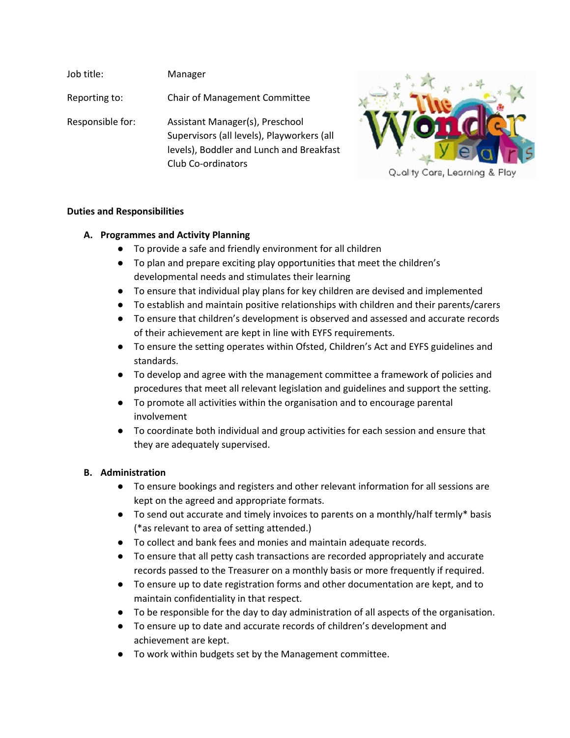Job title: Manager Reporting to: Chair of Management Committee Responsible for: Assistant Manager(s), Preschool Supervisors (all levels), Playworkers (all levels), Boddler and Lunch and Breakfast Club Co-ordinators



### **Duties and Responsibilities**

### **A. Programmes and Activity Planning**

- To provide a safe and friendly environment for all children
- To plan and prepare exciting play opportunities that meet the children's developmental needs and stimulates their learning
- To ensure that individual play plans for key children are devised and implemented
- To establish and maintain positive relationships with children and their parents/carers
- To ensure that children's development is observed and assessed and accurate records of their achievement are kept in line with EYFS requirements.
- To ensure the setting operates within Ofsted, Children's Act and EYFS guidelines and standards.
- To develop and agree with the management committee a framework of policies and procedures that meet all relevant legislation and guidelines and support the setting.
- To promote all activities within the organisation and to encourage parental involvement
- To coordinate both individual and group activities for each session and ensure that they are adequately supervised.

### **B. Administration**

- To ensure bookings and registers and other relevant information for all sessions are kept on the agreed and appropriate formats.
- To send out accurate and timely invoices to parents on a monthly/half termly\* basis (\*as relevant to area of setting attended.)
- To collect and bank fees and monies and maintain adequate records.
- To ensure that all petty cash transactions are recorded appropriately and accurate records passed to the Treasurer on a monthly basis or more frequently if required.
- To ensure up to date registration forms and other documentation are kept, and to maintain confidentiality in that respect.
- To be responsible for the day to day administration of all aspects of the organisation.
- To ensure up to date and accurate records of children's development and achievement are kept.
- To work within budgets set by the Management committee.